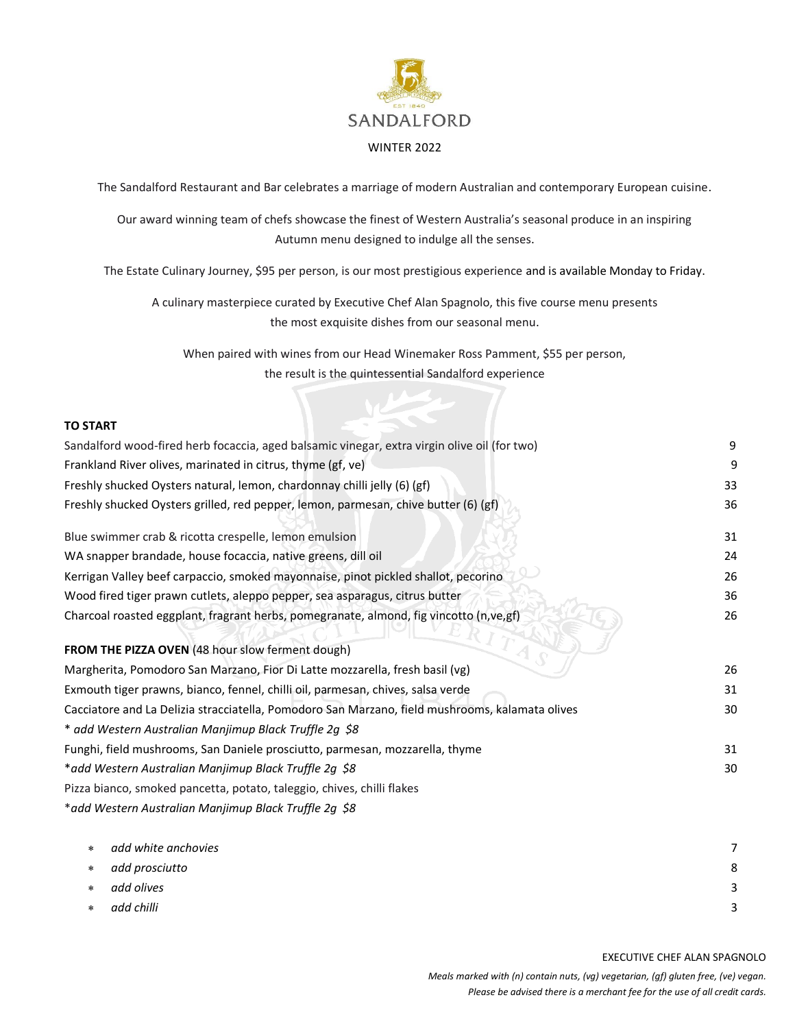

The Sandalford Restaurant and Bar celebrates a marriage of modern Australian and contemporary European cuisine.

Our award winning team of chefs showcase the finest of Western Australia's seasonal produce in an inspiring Autumn menu designed to indulge all the senses.

The Estate Culinary Journey, \$95 per person, is our most prestigious experience and is available Monday to Friday.

A culinary masterpiece curated by Executive Chef Alan Spagnolo, this five course menu presents the most exquisite dishes from our seasonal menu.

When paired with wines from our Head Winemaker Ross Pamment, \$55 per person, the result is the quintessential Sandalford experience

## **TO START**

| Sandalford wood-fired herb focaccia, aged balsamic vinegar, extra virgin olive oil (for two)    | 9  |
|-------------------------------------------------------------------------------------------------|----|
| Frankland River olives, marinated in citrus, thyme (gf, ve)                                     | 9  |
| Freshly shucked Oysters natural, lemon, chardonnay chilli jelly (6) (gf)                        | 33 |
| Freshly shucked Oysters grilled, red pepper, lemon, parmesan, chive butter (6) (gf)             | 36 |
| Blue swimmer crab & ricotta crespelle, lemon emulsion                                           | 31 |
| WA snapper brandade, house focaccia, native greens, dill oil                                    | 24 |
| Kerrigan Valley beef carpaccio, smoked mayonnaise, pinot pickled shallot, pecorino              | 26 |
| Wood fired tiger prawn cutlets, aleppo pepper, sea asparagus, citrus butter                     | 36 |
| Charcoal roasted eggplant, fragrant herbs, pomegranate, almond, fig vincotto (n,ve,gf)          | 26 |
| FROM THE PIZZA OVEN (48 hour slow ferment dough)                                                |    |
| Margherita, Pomodoro San Marzano, Fior Di Latte mozzarella, fresh basil (vg)                    | 26 |
| Exmouth tiger prawns, bianco, fennel, chilli oil, parmesan, chives, salsa verde                 | 31 |
| Cacciatore and La Delizia stracciatella, Pomodoro San Marzano, field mushrooms, kalamata olives | 30 |
| * add Western Australian Manjimup Black Truffle 2g \$8                                          |    |
| Funghi, field mushrooms, San Daniele prosciutto, parmesan, mozzarella, thyme                    | 31 |
| *add Western Australian Manjimup Black Truffle 2g \$8                                           | 30 |
| Pizza bianco, smoked pancetta, potato, taleggio, chives, chilli flakes                          |    |
| *add Western Australian Manjimup Black Truffle 2g \$8                                           |    |
| add white anchovies<br>$\ast$                                                                   | 7  |
| لمنقطب بتمم مستمر المالميم                                                                      |    |

 *add prosciutto* 8 *add olives* 3 *add chilli* 3

EXECUTIVE CHEF ALAN SPAGNOLO